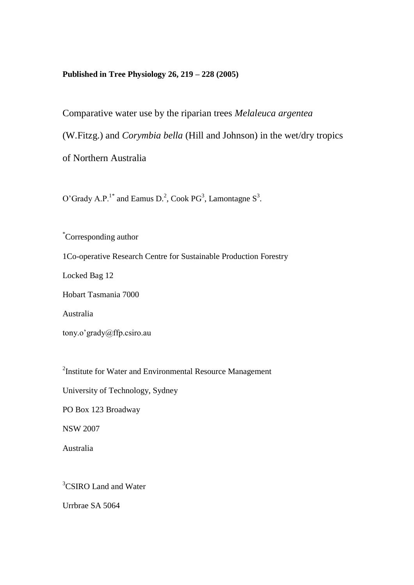# **Published in Tree Physiology 26, 219 – 228 (2005)**

Comparative water use by the riparian trees *Melaleuca argentea* (W.Fitzg.) and *Corymbia bella* (Hill and Johnson) in the wet/dry tropics of Northern Australia

O'Grady A.P.<sup>1\*</sup> and Eamus D.<sup>2</sup>, Cook PG<sup>3</sup>, Lamontagne S<sup>3</sup>.

\*Corresponding author

1Co-operative Research Centre for Sustainable Production Forestry

Locked Bag 12

Hobart Tasmania 7000

Australia

tony.o'grady@ffp.csiro.au

<sup>2</sup>Institute for Water and Environmental Resource Management

University of Technology, Sydney

PO Box 123 Broadway

NSW 2007

Australia

<sup>3</sup>CSIRO Land and Water

Urrbrae SA 5064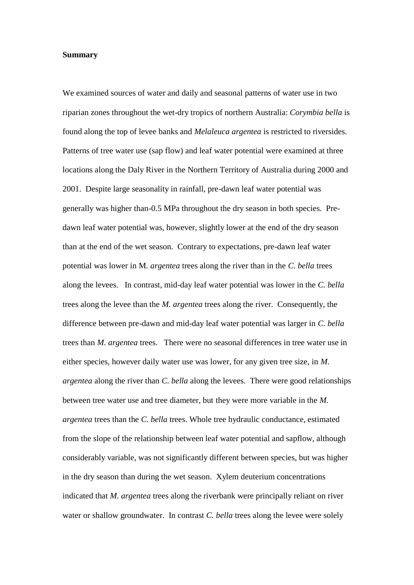## **Summary**

We examined sources of water and daily and seasonal patterns of water use in two riparian zones throughout the wet-dry tropics of northern Australia: *Corymbia bella* is found along the top of levee banks and *Melaleuca argentea* is restricted to riversides. Patterns of tree water use (sap flow) and leaf water potential were examined at three locations along the Daly River in the Northern Territory of Australia during 2000 and 2001. Despite large seasonality in rainfall, pre-dawn leaf water potential was generally was higher than-0.5 MPa throughout the dry season in both species. Predawn leaf water potential was, however, slightly lower at the end of the dry season than at the end of the wet season. Contrary to expectations, pre-dawn leaf water potential was lower in M*. argentea* trees along the river than in the *C. bella* trees along the levees. In contrast, mid-day leaf water potential was lower in the *C. bella* trees along the levee than the *M. argentea* trees along the river. Consequently, the difference between pre-dawn and mid-day leaf water potential was larger in *C. bella* trees than *M. argentea* trees. There were no seasonal differences in tree water use in either species, however daily water use was lower, for any given tree size, in *M. argentea* along the river than *C. bella* along the levees. There were good relationships between tree water use and tree diameter, but they were more variable in the *M. argentea* trees than the *C. bella* trees. Whole tree hydraulic conductance, estimated from the slope of the relationship between leaf water potential and sapflow, although considerably variable, was not significantly different between species, but was higher in the dry season than during the wet season. Xylem deuterium concentrations indicated that *M. argentea* trees along the riverbank were principally reliant on river water or shallow groundwater. In contrast *C. bella* trees along the levee were solely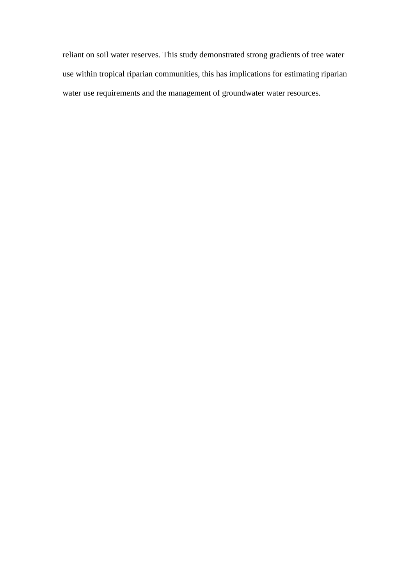reliant on soil water reserves. This study demonstrated strong gradients of tree water use within tropical riparian communities, this has implications for estimating riparian water use requirements and the management of groundwater water resources.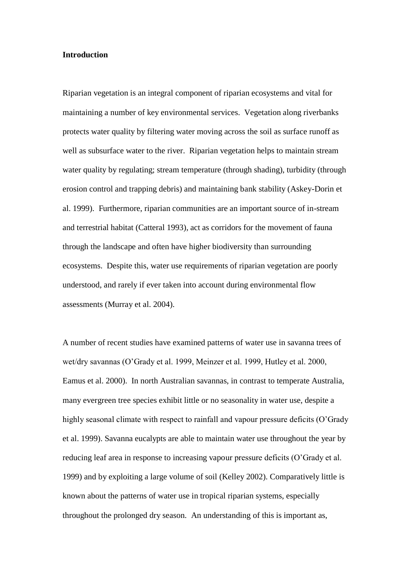#### **Introduction**

Riparian vegetation is an integral component of riparian ecosystems and vital for maintaining a number of key environmental services. Vegetation along riverbanks protects water quality by filtering water moving across the soil as surface runoff as well as subsurface water to the river. Riparian vegetation helps to maintain stream water quality by regulating; stream temperature (through shading), turbidity (through erosion control and trapping debris) and maintaining bank stability (Askey-Dorin et al. 1999). Furthermore, riparian communities are an important source of in-stream and terrestrial habitat (Catteral 1993), act as corridors for the movement of fauna through the landscape and often have higher biodiversity than surrounding ecosystems. Despite this, water use requirements of riparian vegetation are poorly understood, and rarely if ever taken into account during environmental flow assessments (Murray et al. 2004).

A number of recent studies have examined patterns of water use in savanna trees of wet/dry savannas (O'Grady et al. 1999, Meinzer et al. 1999, Hutley et al. 2000, Eamus et al. 2000). In north Australian savannas, in contrast to temperate Australia, many evergreen tree species exhibit little or no seasonality in water use, despite a highly seasonal climate with respect to rainfall and vapour pressure deficits (O'Grady et al. 1999). Savanna eucalypts are able to maintain water use throughout the year by reducing leaf area in response to increasing vapour pressure deficits (O'Grady et al. 1999) and by exploiting a large volume of soil (Kelley 2002). Comparatively little is known about the patterns of water use in tropical riparian systems, especially throughout the prolonged dry season. An understanding of this is important as,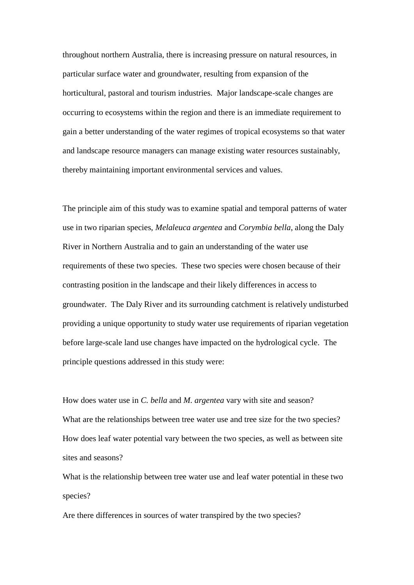throughout northern Australia, there is increasing pressure on natural resources, in particular surface water and groundwater, resulting from expansion of the horticultural, pastoral and tourism industries. Major landscape-scale changes are occurring to ecosystems within the region and there is an immediate requirement to gain a better understanding of the water regimes of tropical ecosystems so that water and landscape resource managers can manage existing water resources sustainably, thereby maintaining important environmental services and values.

The principle aim of this study was to examine spatial and temporal patterns of water use in two riparian species, *Melaleuca argentea* and *Corymbia bella*, along the Daly River in Northern Australia and to gain an understanding of the water use requirements of these two species. These two species were chosen because of their contrasting position in the landscape and their likely differences in access to groundwater. The Daly River and its surrounding catchment is relatively undisturbed providing a unique opportunity to study water use requirements of riparian vegetation before large-scale land use changes have impacted on the hydrological cycle. The principle questions addressed in this study were:

How does water use in *C. bella* and *M. argentea* vary with site and season? What are the relationships between tree water use and tree size for the two species? How does leaf water potential vary between the two species, as well as between site sites and seasons?

What is the relationship between tree water use and leaf water potential in these two species?

Are there differences in sources of water transpired by the two species?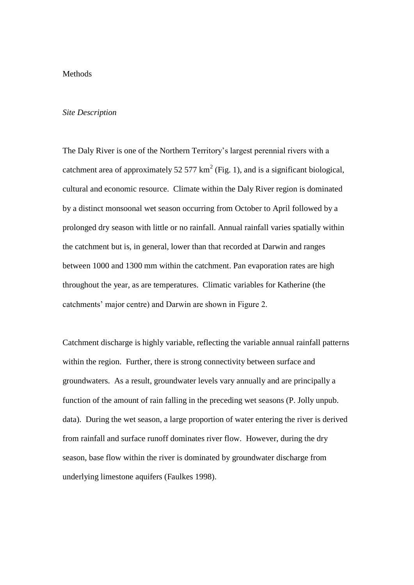#### **Methods**

#### *Site Description*

The Daly River is one of the Northern Territory's largest perennial rivers with a catchment area of approximately 52 577  $km^2$  (Fig. 1), and is a significant biological, cultural and economic resource. Climate within the Daly River region is dominated by a distinct monsoonal wet season occurring from October to April followed by a prolonged dry season with little or no rainfall. Annual rainfall varies spatially within the catchment but is, in general, lower than that recorded at Darwin and ranges between 1000 and 1300 mm within the catchment. Pan evaporation rates are high throughout the year, as are temperatures. Climatic variables for Katherine (the catchments' major centre) and Darwin are shown in Figure 2.

Catchment discharge is highly variable, reflecting the variable annual rainfall patterns within the region. Further, there is strong connectivity between surface and groundwaters. As a result, groundwater levels vary annually and are principally a function of the amount of rain falling in the preceding wet seasons (P. Jolly unpub. data). During the wet season, a large proportion of water entering the river is derived from rainfall and surface runoff dominates river flow. However, during the dry season, base flow within the river is dominated by groundwater discharge from underlying limestone aquifers (Faulkes 1998).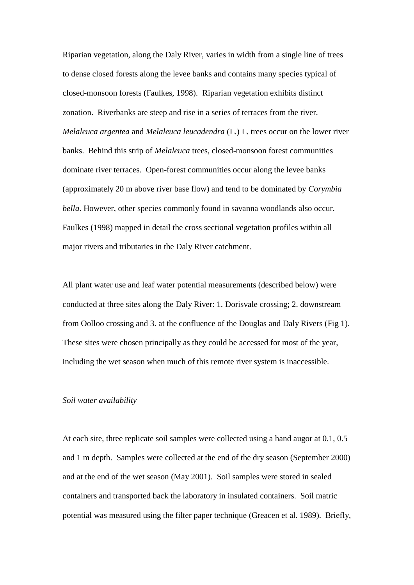Riparian vegetation, along the Daly River, varies in width from a single line of trees to dense closed forests along the levee banks and contains many species typical of closed-monsoon forests (Faulkes, 1998)*.* Riparian vegetation exhibits distinct zonation. Riverbanks are steep and rise in a series of terraces from the river. *Melaleuca argentea* and *Melaleuca leucadendra* (L.) L. trees occur on the lower river banks. Behind this strip of *Melaleuca* trees, closed-monsoon forest communities dominate river terraces. Open-forest communities occur along the levee banks (approximately 20 m above river base flow) and tend to be dominated by *Corymbia bella*. However, other species commonly found in savanna woodlands also occur. Faulkes (1998) mapped in detail the cross sectional vegetation profiles within all major rivers and tributaries in the Daly River catchment.

All plant water use and leaf water potential measurements (described below) were conducted at three sites along the Daly River: 1. Dorisvale crossing; 2. downstream from Oolloo crossing and 3. at the confluence of the Douglas and Daly Rivers (Fig 1). These sites were chosen principally as they could be accessed for most of the year, including the wet season when much of this remote river system is inaccessible.

#### *Soil water availability*

At each site, three replicate soil samples were collected using a hand augor at 0.1, 0.5 and 1 m depth. Samples were collected at the end of the dry season (September 2000) and at the end of the wet season (May 2001). Soil samples were stored in sealed containers and transported back the laboratory in insulated containers. Soil matric potential was measured using the filter paper technique (Greacen et al. 1989). Briefly,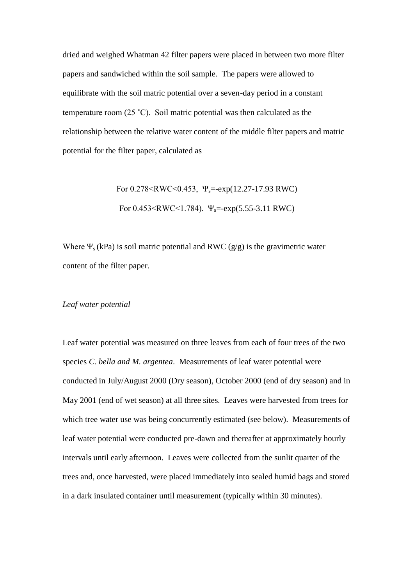dried and weighed Whatman 42 filter papers were placed in between two more filter papers and sandwiched within the soil sample. The papers were allowed to equilibrate with the soil matric potential over a seven-day period in a constant temperature room (25 ˚C). Soil matric potential was then calculated as the relationship between the relative water content of the middle filter papers and matric potential for the filter paper, calculated as

> For  $0.278 \le RWC \le 0.453$ ,  $\Psi = \exp(12.27 - 17.93$  RWC) For 0.453<RWC<1.784).  $\Psi_s = \exp(5.55-3.11 \text{ RWC})$

Where  $\Psi_s$  (kPa) is soil matric potential and RWC (g/g) is the gravimetric water content of the filter paper.

#### *Leaf water potential*

Leaf water potential was measured on three leaves from each of four trees of the two species *C. bella and M. argentea*. Measurements of leaf water potential were conducted in July/August 2000 (Dry season), October 2000 (end of dry season) and in May 2001 (end of wet season) at all three sites. Leaves were harvested from trees for which tree water use was being concurrently estimated (see below). Measurements of leaf water potential were conducted pre-dawn and thereafter at approximately hourly intervals until early afternoon. Leaves were collected from the sunlit quarter of the trees and, once harvested, were placed immediately into sealed humid bags and stored in a dark insulated container until measurement (typically within 30 minutes).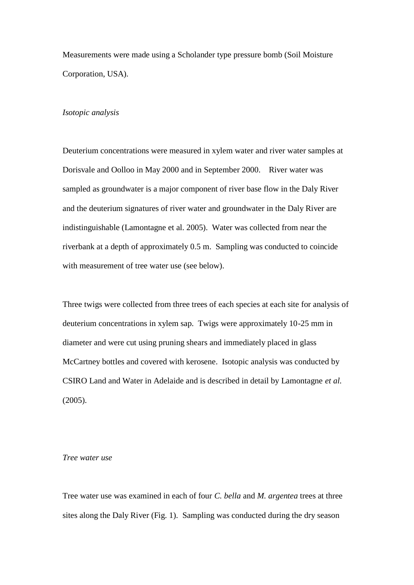Measurements were made using a Scholander type pressure bomb (Soil Moisture Corporation, USA).

#### *Isotopic analysis*

Deuterium concentrations were measured in xylem water and river water samples at Dorisvale and Oolloo in May 2000 and in September 2000. River water was sampled as groundwater is a major component of river base flow in the Daly River and the deuterium signatures of river water and groundwater in the Daly River are indistinguishable (Lamontagne et al. 2005). Water was collected from near the riverbank at a depth of approximately 0.5 m. Sampling was conducted to coincide with measurement of tree water use (see below).

Three twigs were collected from three trees of each species at each site for analysis of deuterium concentrations in xylem sap. Twigs were approximately 10-25 mm in diameter and were cut using pruning shears and immediately placed in glass McCartney bottles and covered with kerosene. Isotopic analysis was conducted by CSIRO Land and Water in Adelaide and is described in detail by Lamontagne *et al.* (2005).

## *Tree water use*

Tree water use was examined in each of four *C. bella* and *M. argentea* trees at three sites along the Daly River (Fig. 1). Sampling was conducted during the dry season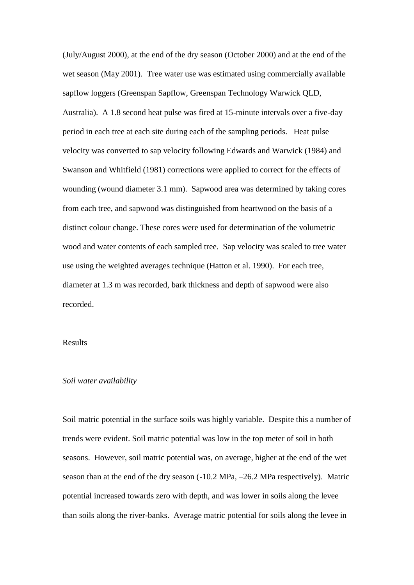(July/August 2000), at the end of the dry season (October 2000) and at the end of the wet season (May 2001). Tree water use was estimated using commercially available sapflow loggers (Greenspan Sapflow, Greenspan Technology Warwick QLD, Australia). A 1.8 second heat pulse was fired at 15-minute intervals over a five-day period in each tree at each site during each of the sampling periods. Heat pulse velocity was converted to sap velocity following Edwards and Warwick (1984) and Swanson and Whitfield (1981) corrections were applied to correct for the effects of wounding (wound diameter 3.1 mm). Sapwood area was determined by taking cores from each tree, and sapwood was distinguished from heartwood on the basis of a distinct colour change. These cores were used for determination of the volumetric wood and water contents of each sampled tree. Sap velocity was scaled to tree water use using the weighted averages technique (Hatton et al. 1990). For each tree, diameter at 1.3 m was recorded, bark thickness and depth of sapwood were also recorded.

## Results

#### *Soil water availability*

Soil matric potential in the surface soils was highly variable. Despite this a number of trends were evident. Soil matric potential was low in the top meter of soil in both seasons. However, soil matric potential was, on average, higher at the end of the wet season than at the end of the dry season (-10.2 MPa, –26.2 MPa respectively). Matric potential increased towards zero with depth, and was lower in soils along the levee than soils along the river-banks. Average matric potential for soils along the levee in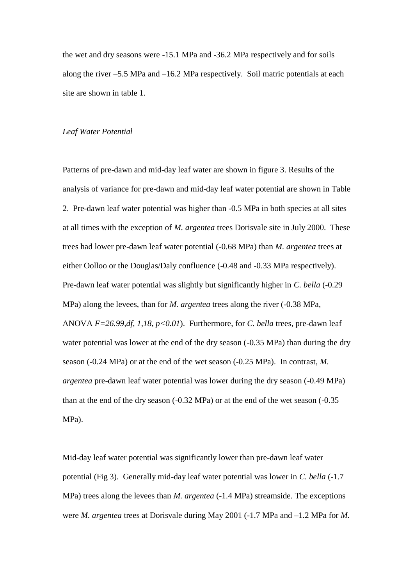the wet and dry seasons were -15.1 MPa and -36.2 MPa respectively and for soils along the river  $-5.5$  MPa and  $-16.2$  MPa respectively. Soil matric potentials at each site are shown in table 1.

#### *Leaf Water Potential*

Patterns of pre-dawn and mid-day leaf water are shown in figure 3. Results of the analysis of variance for pre-dawn and mid-day leaf water potential are shown in Table 2. Pre-dawn leaf water potential was higher than -0.5 MPa in both species at all sites at all times with the exception of *M. argentea* trees Dorisvale site in July 2000. These trees had lower pre-dawn leaf water potential (-0.68 MPa) than *M. argentea* trees at either Oolloo or the Douglas/Daly confluence (-0.48 and -0.33 MPa respectively). Pre-dawn leaf water potential was slightly but significantly higher in *C. bella* (-0.29 MPa) along the levees, than for *M. argentea* trees along the river (-0.38 MPa, ANOVA *F=26.99,df, 1,18, p<0.01*). Furthermore, for *C. bella* trees, pre-dawn leaf water potential was lower at the end of the dry season (-0.35 MPa) than during the dry season (-0.24 MPa) or at the end of the wet season (-0.25 MPa). In contrast, *M. argentea* pre-dawn leaf water potential was lower during the dry season (-0.49 MPa) than at the end of the dry season (-0.32 MPa) or at the end of the wet season (-0.35 MPa).

Mid-day leaf water potential was significantly lower than pre-dawn leaf water potential (Fig 3). Generally mid-day leaf water potential was lower in *C. bella* (-1.7 MPa) trees along the levees than *M. argentea* (-1.4 MPa) streamside. The exceptions were *M. argentea* trees at Dorisvale during May 2001 (-1.7 MPa and –1.2 MPa for *M.*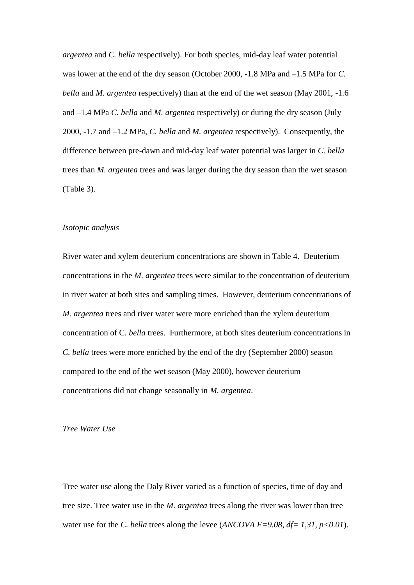*argentea* and *C. bella* respectively). For both species, mid-day leaf water potential was lower at the end of the dry season (October 2000, -1.8 MPa and –1.5 MPa for *C. bella* and *M. argentea* respectively) than at the end of the wet season (May 2001, -1.6 and –1.4 MPa *C. bella* and *M. argentea* respectively) or during the dry season (July 2000, -1.7 and –1.2 MPa, *C. bella* and *M. argentea* respectively). Consequently, the difference between pre-dawn and mid-day leaf water potential was larger in *C. bella* trees than *M. argentea* trees and was larger during the dry season than the wet season (Table 3).

#### *Isotopic analysis*

River water and xylem deuterium concentrations are shown in Table 4. Deuterium concentrations in the *M. argentea* trees were similar to the concentration of deuterium in river water at both sites and sampling times. However, deuterium concentrations of *M. argentea* trees and river water were more enriched than the xylem deuterium concentration of C*. bella* trees. Furthermore, at both sites deuterium concentrations in *C. bella* trees were more enriched by the end of the dry (September 2000) season compared to the end of the wet season (May 2000), however deuterium concentrations did not change seasonally in *M. argentea*.

## *Tree Water Use*

Tree water use along the Daly River varied as a function of species, time of day and tree size. Tree water use in the *M. argentea* trees along the river was lower than tree water use for the *C. bella* trees along the levee (*ANCOVA F=9.08, df= 1,31, p<0.01*).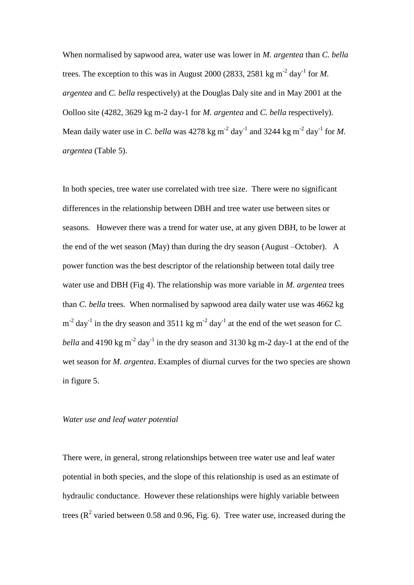When normalised by sapwood area, water use was lower in *M. argentea* than *C. bella* trees. The exception to this was in August 2000 (2833, 2581 kg m<sup>-2</sup> day<sup>-1</sup> for *M*. *argentea* and *C. bella* respectively) at the Douglas Daly site and in May 2001 at the Oolloo site (4282, 3629 kg m-2 day-1 for *M. argentea* and *C. bella* respectively). Mean daily water use in *C. bella* was  $4278 \text{ kg m}^{-2}$  day<sup>-1</sup> and  $3244 \text{ kg m}^{-2}$  day<sup>-1</sup> for *M*. *argentea* (Table 5).

In both species, tree water use correlated with tree size. There were no significant differences in the relationship between DBH and tree water use between sites or seasons. However there was a trend for water use, at any given DBH, to be lower at the end of the wet season (May) than during the dry season (August –October). A power function was the best descriptor of the relationship between total daily tree water use and DBH (Fig 4). The relationship was more variable in *M. argentea* trees than *C. bella* trees. When normalised by sapwood area daily water use was 4662 kg  $m^{-2}$  day<sup>-1</sup> in the dry season and 3511 kg  $m^{-2}$  day<sup>-1</sup> at the end of the wet season for *C*. *bella* and 4190 kg  $m^{-2}$  day<sup>-1</sup> in the dry season and 3130 kg m-2 day-1 at the end of the wet season for *M. argentea*. Examples of diurnal curves for the two species are shown in figure 5.

#### *Water use and leaf water potential*

There were, in general, strong relationships between tree water use and leaf water potential in both species, and the slope of this relationship is used as an estimate of hydraulic conductance. However these relationships were highly variable between trees ( $R^2$  varied between 0.58 and 0.96, Fig. 6). Tree water use, increased during the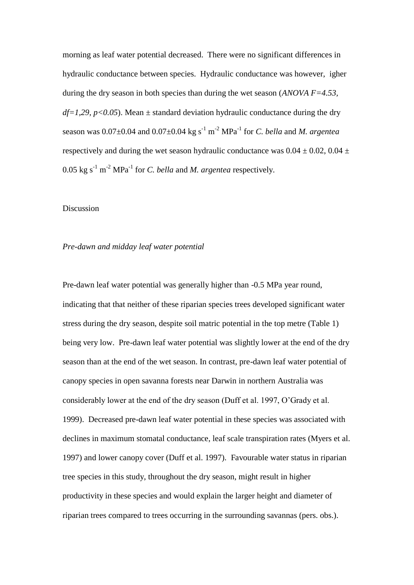morning as leaf water potential decreased. There were no significant differences in hydraulic conductance between species. Hydraulic conductance was however, igher during the dry season in both species than during the wet season (*ANOVA F=4.53,*   $df=1,29$ ,  $p<0.05$ ). Mean  $\pm$  standard deviation hydraulic conductance during the dry season was  $0.07 \pm 0.04$  and  $0.07 \pm 0.04$  kg s<sup>-1</sup> m<sup>-2</sup> MPa<sup>-1</sup> for *C. bella* and *M. argentea* respectively and during the wet season hydraulic conductance was  $0.04 \pm 0.02$ ,  $0.04 \pm 0.02$ 0.05 kg s<sup>-1</sup> m<sup>-2</sup> MPa<sup>-1</sup> for *C. bella* and *M. argentea* respectively.

#### Discussion

## *Pre-dawn and midday leaf water potential*

Pre-dawn leaf water potential was generally higher than -0.5 MPa year round, indicating that that neither of these riparian species trees developed significant water stress during the dry season, despite soil matric potential in the top metre (Table 1) being very low. Pre-dawn leaf water potential was slightly lower at the end of the dry season than at the end of the wet season. In contrast, pre-dawn leaf water potential of canopy species in open savanna forests near Darwin in northern Australia was considerably lower at the end of the dry season (Duff et al. 1997, O'Grady et al. 1999). Decreased pre-dawn leaf water potential in these species was associated with declines in maximum stomatal conductance, leaf scale transpiration rates (Myers et al. 1997) and lower canopy cover (Duff et al. 1997). Favourable water status in riparian tree species in this study, throughout the dry season, might result in higher productivity in these species and would explain the larger height and diameter of riparian trees compared to trees occurring in the surrounding savannas (pers. obs.).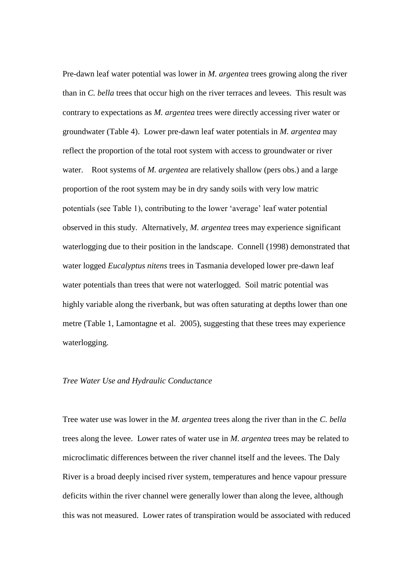Pre-dawn leaf water potential was lower in *M. argentea* trees growing along the river than in *C. bella* trees that occur high on the river terraces and levees. This result was contrary to expectations as *M. argentea* trees were directly accessing river water or groundwater (Table 4). Lower pre-dawn leaf water potentials in *M. argentea* may reflect the proportion of the total root system with access to groundwater or river water. Root systems of *M. argentea* are relatively shallow (pers obs.) and a large proportion of the root system may be in dry sandy soils with very low matric potentials (see Table 1), contributing to the lower 'average' leaf water potential observed in this study. Alternatively, *M. argentea* trees may experience significant waterlogging due to their position in the landscape. Connell (1998) demonstrated that water logged *Eucalyptus nitens* trees in Tasmania developed lower pre-dawn leaf water potentials than trees that were not waterlogged. Soil matric potential was highly variable along the riverbank, but was often saturating at depths lower than one metre (Table 1, Lamontagne et al. 2005), suggesting that these trees may experience waterlogging.

## *Tree Water Use and Hydraulic Conductance*

Tree water use was lower in the *M. argentea* trees along the river than in the *C. bella* trees along the levee. Lower rates of water use in *M. argentea* trees may be related to microclimatic differences between the river channel itself and the levees. The Daly River is a broad deeply incised river system, temperatures and hence vapour pressure deficits within the river channel were generally lower than along the levee, although this was not measured. Lower rates of transpiration would be associated with reduced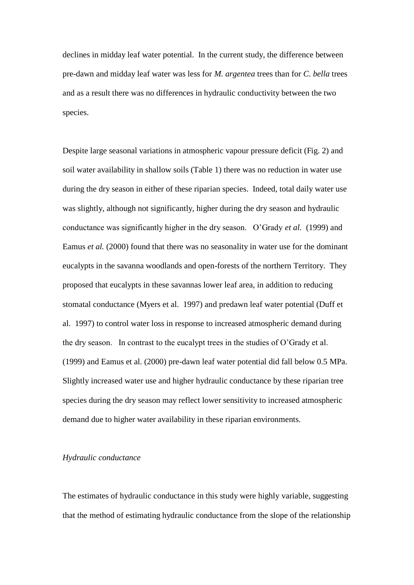declines in midday leaf water potential. In the current study, the difference between pre-dawn and midday leaf water was less for *M. argentea* trees than for *C. bella* trees and as a result there was no differences in hydraulic conductivity between the two species.

Despite large seasonal variations in atmospheric vapour pressure deficit (Fig. 2) and soil water availability in shallow soils (Table 1) there was no reduction in water use during the dry season in either of these riparian species. Indeed, total daily water use was slightly, although not significantly, higher during the dry season and hydraulic conductance was significantly higher in the dry season. O'Grady *et al.* (1999) and Eamus *et al.* (2000) found that there was no seasonality in water use for the dominant eucalypts in the savanna woodlands and open-forests of the northern Territory. They proposed that eucalypts in these savannas lower leaf area, in addition to reducing stomatal conductance (Myers et al. 1997) and predawn leaf water potential (Duff et al. 1997) to control water loss in response to increased atmospheric demand during the dry season. In contrast to the eucalypt trees in the studies of O'Grady et al. (1999) and Eamus et al. (2000) pre-dawn leaf water potential did fall below 0.5 MPa. Slightly increased water use and higher hydraulic conductance by these riparian tree species during the dry season may reflect lower sensitivity to increased atmospheric demand due to higher water availability in these riparian environments.

#### *Hydraulic conductance*

The estimates of hydraulic conductance in this study were highly variable, suggesting that the method of estimating hydraulic conductance from the slope of the relationship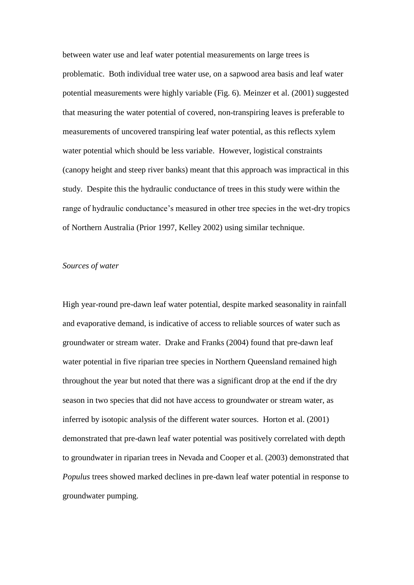between water use and leaf water potential measurements on large trees is problematic. Both individual tree water use, on a sapwood area basis and leaf water potential measurements were highly variable (Fig. 6). Meinzer et al. (2001) suggested that measuring the water potential of covered, non-transpiring leaves is preferable to measurements of uncovered transpiring leaf water potential, as this reflects xylem water potential which should be less variable. However, logistical constraints (canopy height and steep river banks) meant that this approach was impractical in this study. Despite this the hydraulic conductance of trees in this study were within the range of hydraulic conductance's measured in other tree species in the wet-dry tropics of Northern Australia (Prior 1997, Kelley 2002) using similar technique.

#### *Sources of water*

High year-round pre-dawn leaf water potential, despite marked seasonality in rainfall and evaporative demand, is indicative of access to reliable sources of water such as groundwater or stream water. Drake and Franks (2004) found that pre-dawn leaf water potential in five riparian tree species in Northern Queensland remained high throughout the year but noted that there was a significant drop at the end if the dry season in two species that did not have access to groundwater or stream water, as inferred by isotopic analysis of the different water sources. Horton et al. (2001) demonstrated that pre-dawn leaf water potential was positively correlated with depth to groundwater in riparian trees in Nevada and Cooper et al. (2003) demonstrated that *Populus* trees showed marked declines in pre-dawn leaf water potential in response to groundwater pumping.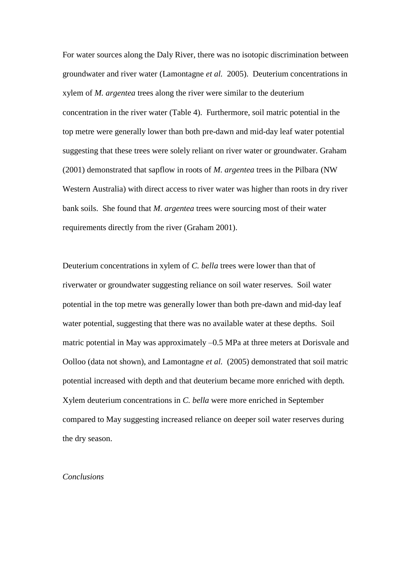For water sources along the Daly River, there was no isotopic discrimination between groundwater and river water (Lamontagne *et al.* 2005). Deuterium concentrations in xylem of *M. argentea* trees along the river were similar to the deuterium concentration in the river water (Table 4). Furthermore, soil matric potential in the top metre were generally lower than both pre-dawn and mid-day leaf water potential suggesting that these trees were solely reliant on river water or groundwater. Graham (2001) demonstrated that sapflow in roots of *M. argentea* trees in the Pilbara (NW Western Australia) with direct access to river water was higher than roots in dry river bank soils. She found that *M. argentea* trees were sourcing most of their water requirements directly from the river (Graham 2001).

Deuterium concentrations in xylem of *C. bella* trees were lower than that of riverwater or groundwater suggesting reliance on soil water reserves. Soil water potential in the top metre was generally lower than both pre-dawn and mid-day leaf water potential, suggesting that there was no available water at these depths. Soil matric potential in May was approximately –0.5 MPa at three meters at Dorisvale and Oolloo (data not shown), and Lamontagne *et al.* (2005) demonstrated that soil matric potential increased with depth and that deuterium became more enriched with depth. Xylem deuterium concentrations in *C. bella* were more enriched in September compared to May suggesting increased reliance on deeper soil water reserves during the dry season.

#### *Conclusions*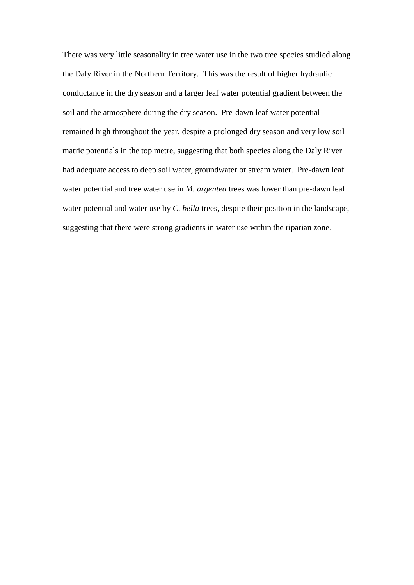There was very little seasonality in tree water use in the two tree species studied along the Daly River in the Northern Territory. This was the result of higher hydraulic conductance in the dry season and a larger leaf water potential gradient between the soil and the atmosphere during the dry season. Pre-dawn leaf water potential remained high throughout the year, despite a prolonged dry season and very low soil matric potentials in the top metre, suggesting that both species along the Daly River had adequate access to deep soil water, groundwater or stream water. Pre-dawn leaf water potential and tree water use in *M. argentea* trees was lower than pre-dawn leaf water potential and water use by *C. bella* trees, despite their position in the landscape, suggesting that there were strong gradients in water use within the riparian zone.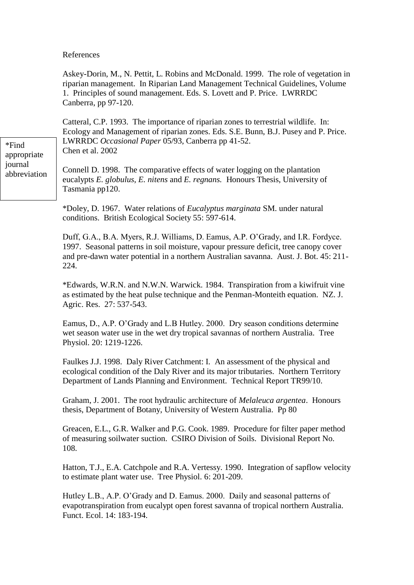## References

Askey-Dorin, M., N. Pettit, L. Robins and McDonald. 1999. The role of vegetation in riparian management. In Riparian Land Management Technical Guidelines, Volume 1. Principles of sound management. Eds. S. Lovett and P. Price. LWRRDC Canberra, pp 97-120.

Catteral, C.P. 1993. The importance of riparian zones to terrestrial wildlife. In: Ecology and Management of riparian zones. Eds. S.E. Bunn, B.J. Pusey and P. Price. LWRRDC *Occasional Paper* 05/93, Canberra pp 41-52. Chen et al. 2002

Connell D. 1998. The comparative effects of water logging on the plantation eucalypts *E. globulus*, *E. nitens* and *E. regnans.* Honours Thesis, University of Tasmania pp120.

\*Doley, D. 1967. Water relations of *Eucalyptus marginata* SM. under natural conditions. British Ecological Society 55: 597-614.

Duff, G.A., B.A. Myers, R.J. Williams, D. Eamus, A.P. O'Grady, and I.R. Fordyce. 1997. Seasonal patterns in soil moisture, vapour pressure deficit, tree canopy cover and pre-dawn water potential in a northern Australian savanna. Aust. J. Bot. 45: 211- 224.

\*Edwards, W.R.N. and N.W.N. Warwick. 1984. Transpiration from a kiwifruit vine as estimated by the heat pulse technique and the Penman-Monteith equation. NZ. J. Agric. Res. 27: 537-543.

Eamus, D., A.P. O'Grady and L.B Hutley. 2000. Dry season conditions determine wet season water use in the wet dry tropical savannas of northern Australia. Tree Physiol. 20: 1219-1226.

Faulkes J.J. 1998. Daly River Catchment: I. An assessment of the physical and ecological condition of the Daly River and its major tributaries. Northern Territory Department of Lands Planning and Environment. Technical Report TR99/10.

Graham, J. 2001. The root hydraulic architecture of *Melaleuca argentea*. Honours thesis, Department of Botany, University of Western Australia. Pp 80

Greacen, E.L., G.R. Walker and P.G. Cook. 1989. Procedure for filter paper method of measuring soilwater suction. CSIRO Division of Soils. Divisional Report No. 108.

Hatton, T.J., E.A. Catchpole and R.A. Vertessy. 1990. Integration of sapflow velocity to estimate plant water use. Tree Physiol. 6: 201-209.

Hutley L.B., A.P. O'Grady and D. Eamus. 2000. Daily and seasonal patterns of evapotranspiration from eucalypt open forest savanna of tropical northern Australia. Funct. Ecol. 14: 183-194.

\*Find appropriate journal abbreviation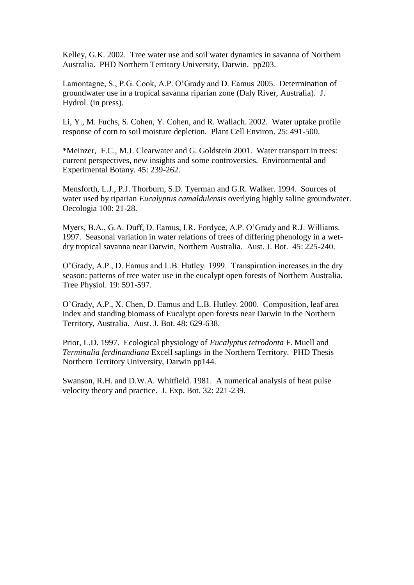Kelley, G.K. 2002. Tree water use and soil water dynamics in savanna of Northern Australia. PHD Northern Territory University, Darwin. pp203.

Lamontagne, S., P.G. Cook, A.P. O'Grady and D. Eamus 2005. Determination of groundwater use in a tropical savanna riparian zone (Daly River, Australia). J. Hydrol. (in press).

Li, Y., M. Fuchs, S. Cohen, Y. Cohen, and R. Wallach. 2002. Water uptake profile response of corn to soil moisture depletion. Plant Cell Environ. 25: 491-500.

\*Meinzer, F.C., M.J. Clearwater and G. Goldstein 2001. Water transport in trees: current perspectives, new insights and some controversies. Environmental and Experimental Botany. 45: 239-262.

Mensforth, L.J., P.J. Thorburn, S.D. Tyerman and G.R. Walker. 1994. Sources of water used by riparian *Eucalyptus camaldulensis* overlying highly saline groundwater. Oecologia 100: 21-28.

Myers, B.A., G.A. Duff, D. Eamus, I.R. Fordyce, A.P. O'Grady and R.J. Williams. 1997. Seasonal variation in water relations of trees of differing phenology in a wetdry tropical savanna near Darwin, Northern Australia. Aust. J. Bot. 45: 225-240.

O'Grady, A.P., D. Eamus and L.B. Hutley. 1999. Transpiration increases in the dry season: patterns of tree water use in the eucalypt open forests of Northern Australia. Tree Physiol. 19: 591-597.

O'Grady, A.P., X. Chen, D. Eamus and L.B. Hutley. 2000. Composition, leaf area index and standing biomass of Eucalypt open forests near Darwin in the Northern Territory, Australia. Aust. J. Bot. 48: 629-638.

Prior, L.D. 1997. Ecological physiology of *Eucalyptus tetrodonta* F. Muell and *Terminalia ferdinandiana* Excell saplings in the Northern Territory. PHD Thesis Northern Territory University, Darwin pp144.

Swanson, R.H. and D.W.A. Whitfield. 1981. A numerical analysis of heat pulse velocity theory and practice. J. Exp. Bot. 32: 221-239.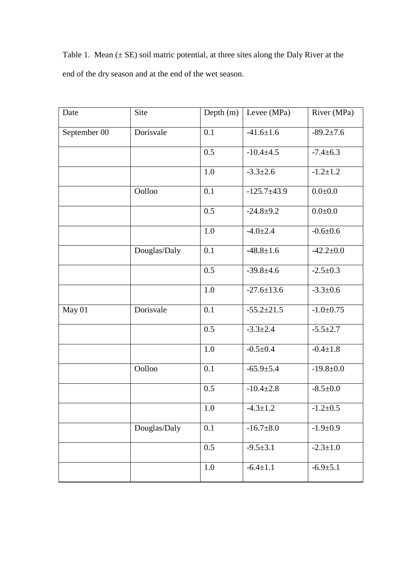Table 1. Mean  $(\pm S E)$  soil matric potential, at three sites along the Daly River at the end of the dry season and at the end of the wet season.

| Date         | Site         | Depth $(m)$ | Levee (MPa)      | River (MPa)     |
|--------------|--------------|-------------|------------------|-----------------|
| September 00 | Dorisvale    | 0.1         | $-41.6 \pm 1.6$  | $-89.2 \pm 7.6$ |
|              |              | 0.5         | $-10.4 + 4.5$    | $-7.4 \pm 6.3$  |
|              |              | 1.0         | $-3.3 \pm 2.6$   | $-1.2 \pm 1.2$  |
|              | Oolloo       | 0.1         | $-125.7+43.9$    | $0.0 + 0.0$     |
|              |              | 0.5         | $-24.8+9.2$      | $0.0 + 0.0$     |
|              |              | 1.0         | $-4.0 \pm 2.4$   | $-0.6 + 0.6$    |
|              | Douglas/Daly | 0.1         | $-48.8 \pm 1.6$  | $-42.2 \pm 0.0$ |
|              |              | 0.5         | $-39.8 \pm 4.6$  | $-2.5 \pm 0.3$  |
|              |              | 1.0         | $-27.6 \pm 13.6$ | $-3.3 \pm 0.6$  |
| May 01       | Dorisvale    | 0.1         | $-55.2 \pm 21.5$ | $-1.0+0.75$     |
|              |              | 0.5         | $-3.3 \pm 2.4$   | $-5.5 \pm 2.7$  |
|              |              | 1.0         | $-0.5 \pm 0.4$   | $-0.4 \pm 1.8$  |
|              | Oolloo       | 0.1         | $-65.9 \pm 5.4$  | $-19.8 + 0.0$   |
|              |              | 0.5         | $-10.4 + 2.8$    | $-8.5 \pm 0.0$  |
|              |              | 1.0         | $-4.3 \pm 1.2$   | $-1.2+0.5$      |
|              | Douglas/Daly | 0.1         | $-16.7 + 8.0$    | $-1.9 \pm 0.9$  |
|              |              | 0.5         | $-9.5 \pm 3.1$   | $-2.3 \pm 1.0$  |
|              |              | $1.0\,$     | $-6.4 \pm 1.1$   | $-6.9{\pm}5.1$  |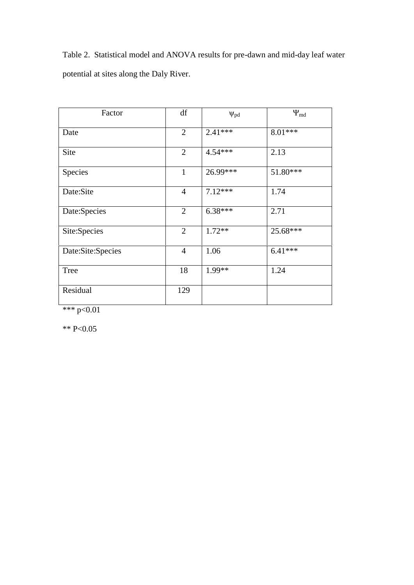| Table 2. Statistical model and ANOVA results for pre-dawn and mid-day leaf water |  |  |  |  |  |
|----------------------------------------------------------------------------------|--|--|--|--|--|
| potential at sites along the Daly River.                                         |  |  |  |  |  |

| Factor            | df             | $\Psi_{pd}$ | $\Psi_{md}$ |
|-------------------|----------------|-------------|-------------|
| Date              | $\overline{2}$ | $2.41***$   | 8.01***     |
| Site              | $\overline{2}$ | $4.54***$   | 2.13        |
| Species           | $\mathbf{1}$   | 26.99***    | 51.80***    |
| Date:Site         | $\overline{4}$ | $7.12***$   | 1.74        |
| Date:Species      | $\overline{2}$ | $6.38***$   | 2.71        |
| Site:Species      | $\overline{2}$ | $1.72**$    | 25.68***    |
| Date:Site:Species | $\overline{4}$ | 1.06        | $6.41***$   |
| Tree              | 18             | 1.99**      | 1.24        |
| Residual          | 129            |             |             |

\*\*\*  $p<0.01$ 

\*\* P<0.05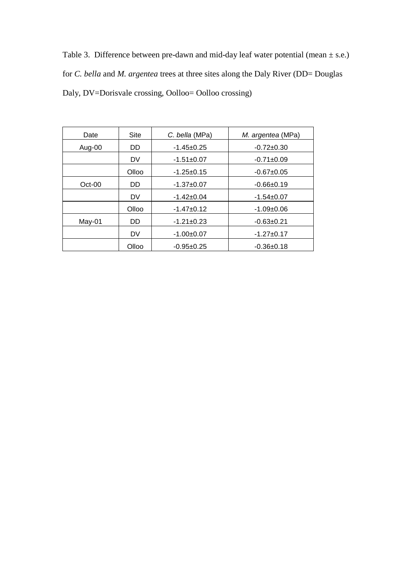Table 3. Difference between pre-dawn and mid-day leaf water potential (mean  $\pm$  s.e.) for *C. bella* and *M. argentea* trees at three sites along the Daly River (DD= Douglas Daly, DV=Dorisvale crossing, Oolloo= Oolloo crossing)

| Date     | Site  | C. bella (MPa)   | M. argentea (MPa) |
|----------|-------|------------------|-------------------|
| Aug-00   | DD.   | $-1.45+0.25$     | $-0.72+0.30$      |
|          | DV    | $-1.51 \pm 0.07$ | $-0.71\pm0.09$    |
|          | Olloo | $-1.25+0.15$     | $-0.67+0.05$      |
| $Oct-00$ | DD.   | $-1.37+0.07$     | $-0.66 + 0.19$    |
|          | DV    | $-1.42+0.04$     | $-1.54 \pm 0.07$  |
|          | Olloo | $-1.47+0.12$     | $-1.09+0.06$      |
| May-01   | DD.   | $-1.21 \pm 0.23$ | $-0.63+0.21$      |
|          | DV    | $-1.00+0.07$     | $-1.27+0.17$      |
|          | Olloo | $-0.95+0.25$     | $-0.36+0.18$      |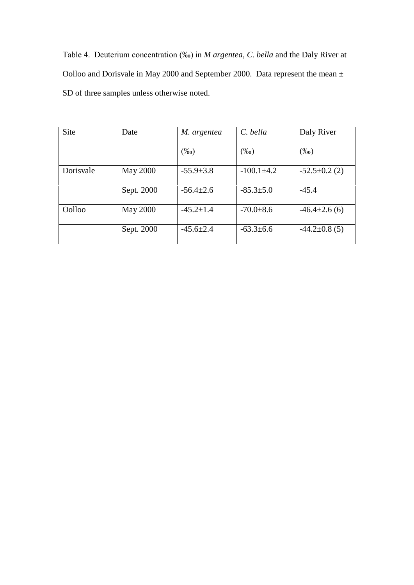Table 4. Deuterium concentration (‰) in *M argentea*, *C. bella* and the Daly River at Oolloo and Dorisvale in May 2000 and September 2000. Data represent the mean  $\pm$ SD of three samples unless otherwise noted.

| <b>Site</b> | Date            | M. argentea     | C. bella         | Daly River          |
|-------------|-----------------|-----------------|------------------|---------------------|
|             |                 | $(\%0)$         | $(\%0)$          | $(\%0)$             |
| Dorisvale   | <b>May 2000</b> | $-55.9 \pm 3.8$ | $-100.1 \pm 4.2$ | $-52.5 \pm 0.2$ (2) |
|             | Sept. 2000      | $-56.4 \pm 2.6$ | $-85.3+5.0$      | $-45.4$             |
| Oolloo      | <b>May 2000</b> | $-45.2 \pm 1.4$ | $-70.0+8.6$      | $-46.4 \pm 2.6$ (6) |
|             | Sept. 2000      | $-45.6 \pm 2.4$ | $-63.3 \pm 6.6$  | $-44.2 \pm 0.8$ (5) |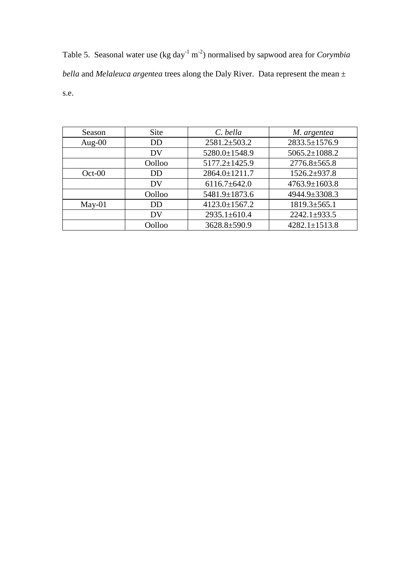Table 5. Seasonal water use  $(\text{kg day}^1 \text{ m}^2)$  normalised by sapwood area for *Corymbia bella* and *Melaleuca argentea* trees along the Daly River. Data represent the mean ± s.e.

| Season    | <b>Site</b> | C. bella            | M. argentea         |
|-----------|-------------|---------------------|---------------------|
| Aug- $00$ | <b>DD</b>   | $2581.2 \pm 503.2$  | 2833.5±1576.9       |
|           | DV          | 5280.0±1548.9       | $5065.2 \pm 1088.2$ |
|           | Oolloo      | $5177.2 \pm 1425.9$ | $2776.8 \pm 565.8$  |
| $Oct-00$  | <b>DD</b>   | 2864.0±1211.7       | 1526.2±937.8        |
|           | DV          | $6116.7 \pm 642.0$  | $4763.9 \pm 1603.8$ |
|           | Oolloo      | 5481.9±1873.6       | 4944.9±3308.3       |
| $May-01$  | <b>DD</b>   | $4123.0 \pm 1567.2$ | $1819.3 \pm 565.1$  |
|           | DV          | 2935.1±610.4        | 2242.1±933.5        |
|           | Oolloo      | $3628.8 \pm 590.9$  | $4282.1 \pm 1513.8$ |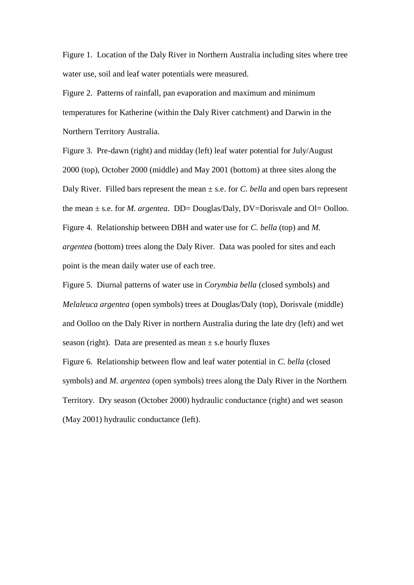Figure 1. Location of the Daly River in Northern Australia including sites where tree water use, soil and leaf water potentials were measured.

Figure 2. Patterns of rainfall, pan evaporation and maximum and minimum temperatures for Katherine (within the Daly River catchment) and Darwin in the Northern Territory Australia.

Figure 3. Pre-dawn (right) and midday (left) leaf water potential for July/August 2000 (top), October 2000 (middle) and May 2001 (bottom) at three sites along the Daly River. Filled bars represent the mean  $\pm$  s.e. for *C. bella* and open bars represent the mean  $\pm$  s.e. for *M. argentea.* DD= Douglas/Daly, DV=Dorisvale and Ol= Oolloo. Figure 4. Relationship between DBH and water use for *C. bella* (top) and *M. argentea* (bottom) trees along the Daly River. Data was pooled for sites and each point is the mean daily water use of each tree.

Figure 5. Diurnal patterns of water use in *Corymbia bella* (closed symbols) and *Melaleuca argentea* (open symbols) trees at Douglas/Daly (top), Dorisvale (middle) and Oolloo on the Daly River in northern Australia during the late dry (left) and wet season (right). Data are presented as mean  $\pm$  s.e hourly fluxes

Figure 6. Relationship between flow and leaf water potential in *C. bella* (closed symbols) and *M. argentea* (open symbols) trees along the Daly River in the Northern Territory. Dry season (October 2000) hydraulic conductance (right) and wet season (May 2001) hydraulic conductance (left).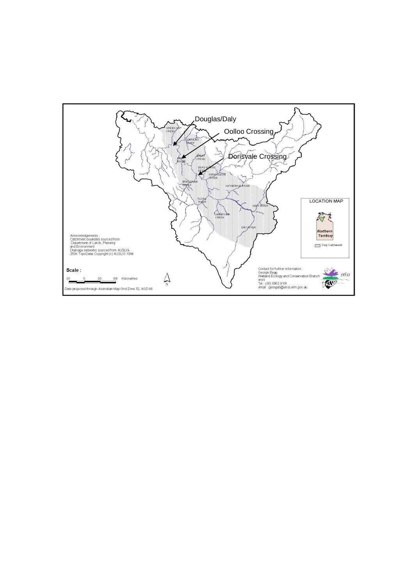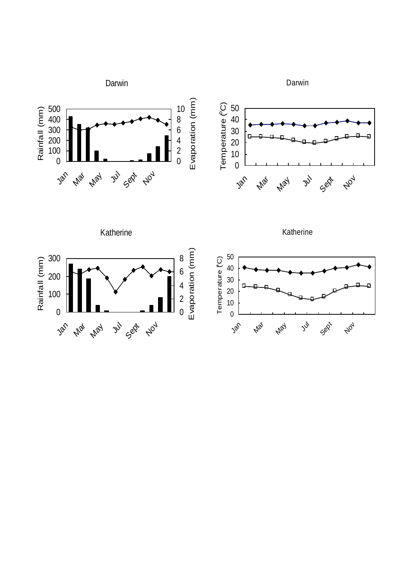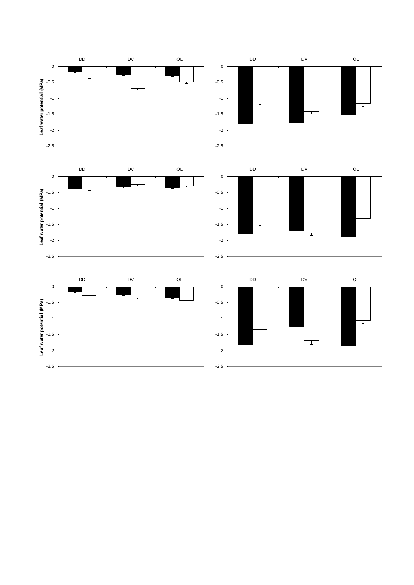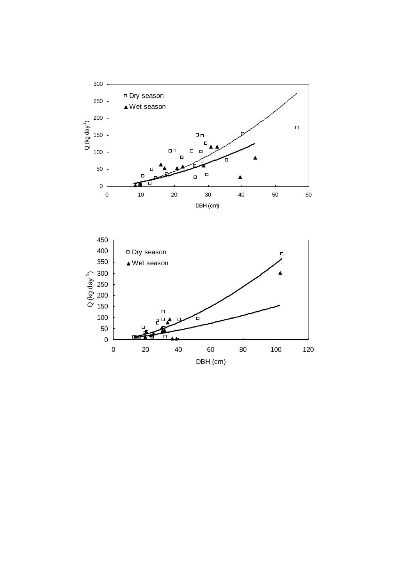

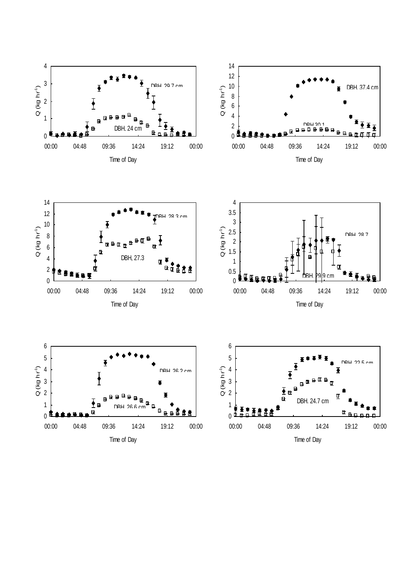